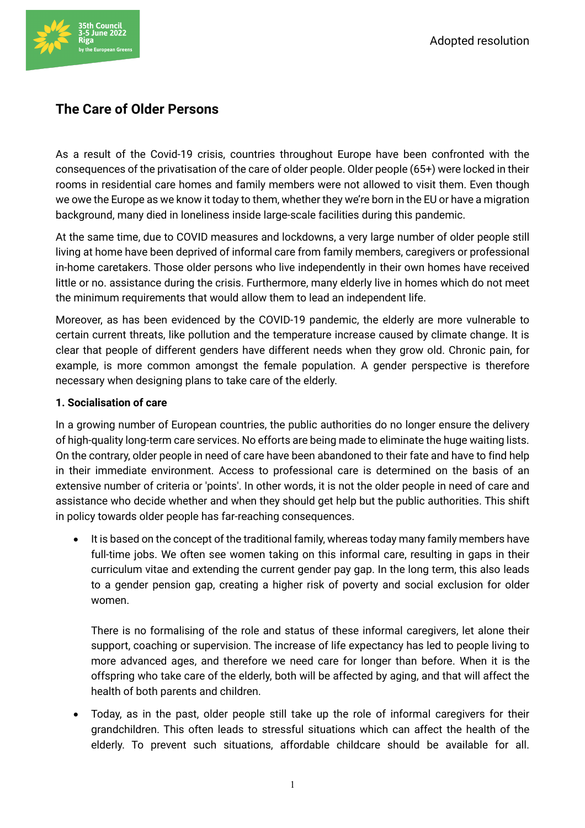

# **The Care of Older Persons**

As a result of the Covid-19 crisis, countries throughout Europe have been confronted with the consequences of the privatisation of the care of older people. Older people (65+) were locked in their rooms in residential care homes and family members were not allowed to visit them. Even though we owe the Europe as we know it today to them, whether they we're born in the EU or have a migration background, many died in loneliness inside large-scale facilities during this pandemic.

At the same time, due to COVID measures and lockdowns, a very large number of older people still living at home have been deprived of informal care from family members, caregivers or professional in-home caretakers. Those older persons who live independently in their own homes have received little or no. assistance during the crisis. Furthermore, many elderly live in homes which do not meet the minimum requirements that would allow them to lead an independent life.

Moreover, as has been evidenced by the COVID-19 pandemic, the elderly are more vulnerable to certain current threats, like pollution and the temperature increase caused by climate change. It is clear that people of different genders have different needs when they grow old. Chronic pain, for example, is more common amongst the female population. A gender perspective is therefore necessary when designing plans to take care of the elderly.

#### **1. Socialisation of care**

In a growing number of European countries, the public authorities do no longer ensure the delivery of high-quality long-term care services. No efforts are being made to eliminate the huge waiting lists. On the contrary, older people in need of care have been abandoned to their fate and have to find help in their immediate environment. Access to professional care is determined on the basis of an extensive number of criteria or 'points'. In other words, it is not the older people in need of care and assistance who decide whether and when they should get help but the public authorities. This shift in policy towards older people has far-reaching consequences.

It is based on the concept of the traditional family, whereas today many family members have full-time jobs. We often see women taking on this informal care, resulting in gaps in their curriculum vitae and extending the current gender pay gap. In the long term, this also leads to a gender pension gap, creating a higher risk of poverty and social exclusion for older women.

There is no formalising of the role and status of these informal caregivers, let alone their support, coaching or supervision. The increase of life expectancy has led to people living to more advanced ages, and therefore we need care for longer than before. When it is the offspring who take care of the elderly, both will be affected by aging, and that will affect the health of both parents and children.

• Today, as in the past, older people still take up the role of informal caregivers for their grandchildren. This often leads to stressful situations which can affect the health of the elderly. To prevent such situations, affordable childcare should be available for all.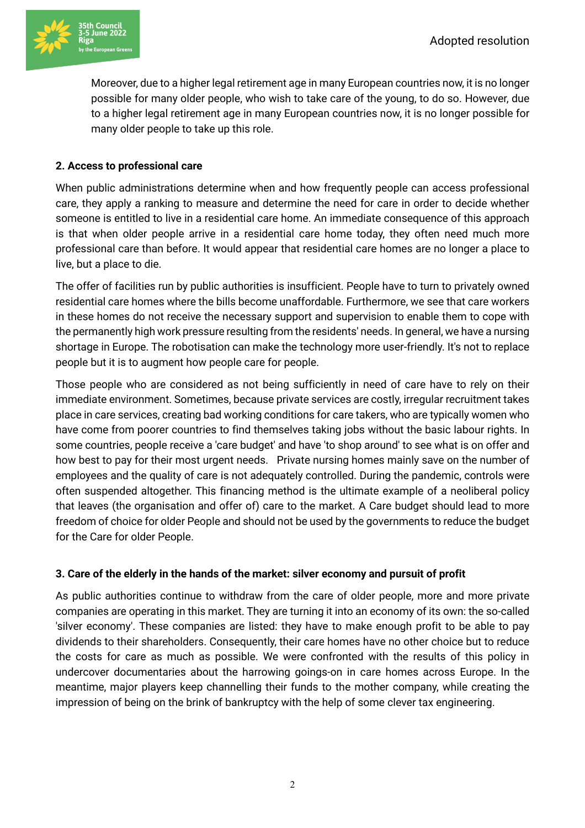

Moreover, due to a higher legal retirement age in many European countries now, it is no longer possible for many older people, who wish to take care of the young, to do so. However, due to a higher legal retirement age in many European countries now, it is no longer possible for many older people to take up this role.

#### **2. Access to professional care**

When public administrations determine when and how frequently people can access professional care, they apply a ranking to measure and determine the need for care in order to decide whether someone is entitled to live in a residential care home. An immediate consequence of this approach is that when older people arrive in a residential care home today, they often need much more professional care than before. It would appear that residential care homes are no longer a place to live, but a place to die.

The offer of facilities run by public authorities is insufficient. People have to turn to privately owned residential care homes where the bills become unaffordable. Furthermore, we see that care workers in these homes do not receive the necessary support and supervision to enable them to cope with the permanently high work pressure resulting from the residents' needs. In general, we have a nursing shortage in Europe. The robotisation can make the technology more user-friendly. It's not to replace people but it is to augment how people care for people.

Those people who are considered as not being sufficiently in need of care have to rely on their immediate environment. Sometimes, because private services are costly, irregular recruitment takes place in care services, creating bad working conditions for care takers, who are typically women who have come from poorer countries to find themselves taking jobs without the basic labour rights. In some countries, people receive a 'care budget' and have 'to shop around' to see what is on offer and how best to pay for their most urgent needs. Private nursing homes mainly save on the number of employees and the quality of care is not adequately controlled. During the pandemic, controls were often suspended altogether. This financing method is the ultimate example of a neoliberal policy that leaves (the organisation and offer of) care to the market. A Care budget should lead to more freedom of choice for older People and should not be used by the governments to reduce the budget for the Care for older People.

#### **3. Care of the elderly in the hands of the market: silver economy and pursuit of profit**

As public authorities continue to withdraw from the care of older people, more and more private companies are operating in this market. They are turning it into an economy of its own: the so-called 'silver economy'. These companies are listed: they have to make enough profit to be able to pay dividends to their shareholders. Consequently, their care homes have no other choice but to reduce the costs for care as much as possible. We were confronted with the results of this policy in undercover documentaries about the harrowing goings-on in care homes across Europe. In the meantime, major players keep channelling their funds to the mother company, while creating the impression of being on the brink of bankruptcy with the help of some clever tax engineering.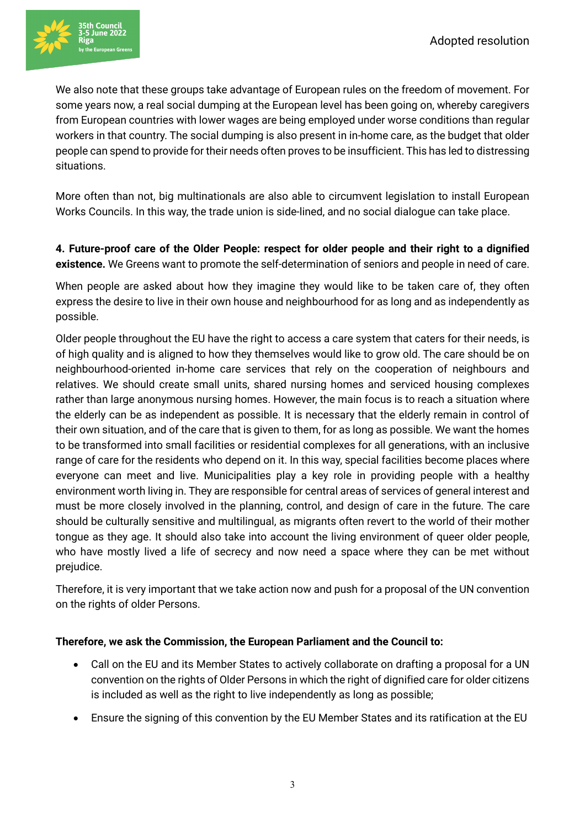

We also note that these groups take advantage of European rules on the freedom of movement. For some years now, a real social dumping at the European level has been going on, whereby caregivers from European countries with lower wages are being employed under worse conditions than regular workers in that country. The social dumping is also present in in-home care, as the budget that older people can spend to provide for their needs often proves to be insufficient. This has led to distressing situations.

More often than not, big multinationals are also able to circumvent legislation to install European Works Councils. In this way, the trade union is side-lined, and no social dialogue can take place.

## **4. Future-proof care of the Older People: respect for older people and their right to a dignified existence.** We Greens want to promote the self-determination of seniors and people in need of care.

When people are asked about how they imagine they would like to be taken care of, they often express the desire to live in their own house and neighbourhood for as long and as independently as possible.

Older people throughout the EU have the right to access a care system that caters for their needs, is of high quality and is aligned to how they themselves would like to grow old. The care should be on neighbourhood-oriented in-home care services that rely on the cooperation of neighbours and relatives. We should create small units, shared nursing homes and serviced housing complexes rather than large anonymous nursing homes. However, the main focus is to reach a situation where the elderly can be as independent as possible. It is necessary that the elderly remain in control of their own situation, and of the care that is given to them, for as long as possible. We want the homes to be transformed into small facilities or residential complexes for all generations, with an inclusive range of care for the residents who depend on it. In this way, special facilities become places where everyone can meet and live. Municipalities play a key role in providing people with a healthy environment worth living in. They are responsible for central areas of services of general interest and must be more closely involved in the planning, control, and design of care in the future. The care should be culturally sensitive and multilingual, as migrants often revert to the world of their mother tongue as they age. It should also take into account the living environment of queer older people, who have mostly lived a life of secrecy and now need a space where they can be met without prejudice.

Therefore, it is very important that we take action now and push for a proposal of the UN convention on the rights of older Persons.

### **Therefore, we ask the Commission, the European Parliament and the Council to:**

- Call on the EU and its Member States to actively collaborate on drafting a proposal for a UN convention on the rights of Older Persons in which the right of dignified care for older citizens is included as well as the right to live independently as long as possible;
- Ensure the signing of this convention by the EU Member States and its ratification at the EU